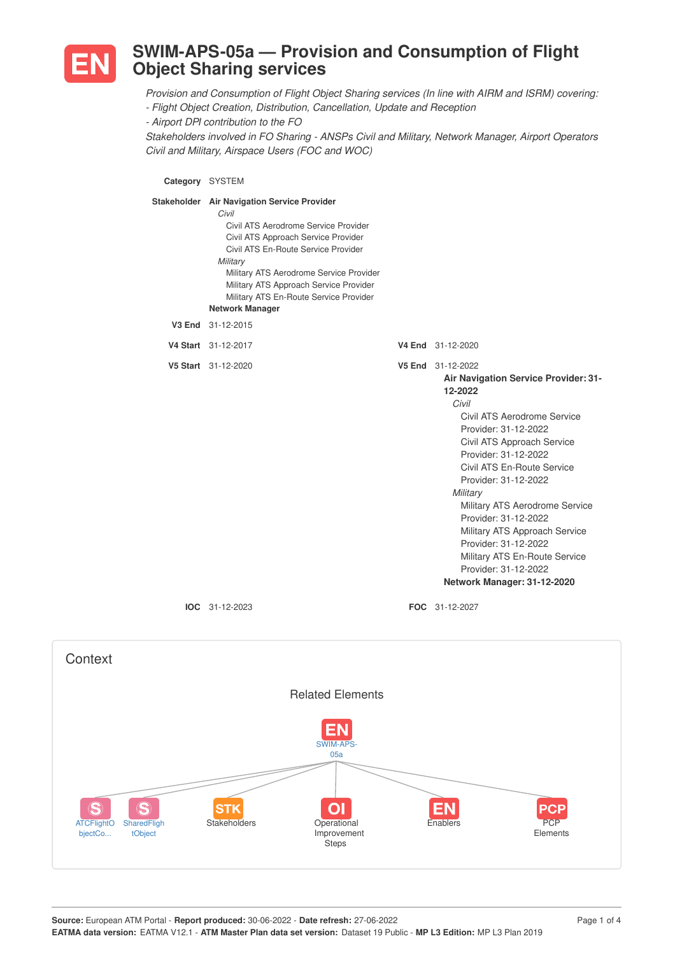

## **SWIM-APS-05a — Provision and Consumption of Flight Object Sharing services**

*Provision and Consumption of Flight Object Sharing services (In line with AIRM and ISRM) covering:*

*- Flight Object Creation, Distribution, Cancellation, Update and Reception*

*- Airport DPI contribution to the FO*

*Stakeholders involved in FO Sharing - ANSPs Civil and Military, Network Manager, Airport Operators Civil and Military, Airspace Users (FOC and WOC)*

**Category** SYSTEM

| Stakeholder Air Navigation Service Provider<br>Civil<br>Civil ATS Aerodrome Service Provider<br>Civil ATS Approach Service Provider<br>Civil ATS En-Route Service Provider<br>Military<br>Military ATS Aerodrome Service Provider<br>Military ATS Approach Service Provider<br>Military ATS En-Route Service Provider<br><b>Network Manager</b> |                                                                                                                                                                                                                                                                                                                                                                                                                                                                         |
|-------------------------------------------------------------------------------------------------------------------------------------------------------------------------------------------------------------------------------------------------------------------------------------------------------------------------------------------------|-------------------------------------------------------------------------------------------------------------------------------------------------------------------------------------------------------------------------------------------------------------------------------------------------------------------------------------------------------------------------------------------------------------------------------------------------------------------------|
| V3 End 31-12-2015                                                                                                                                                                                                                                                                                                                               |                                                                                                                                                                                                                                                                                                                                                                                                                                                                         |
| V4 Start 31-12-2017                                                                                                                                                                                                                                                                                                                             | V4 End 31-12-2020                                                                                                                                                                                                                                                                                                                                                                                                                                                       |
| V5 Start 31-12-2020                                                                                                                                                                                                                                                                                                                             | V5 End 31-12-2022<br>Air Navigation Service Provider: 31-<br>12-2022<br>Civil<br>Civil ATS Aerodrome Service<br>Provider: 31-12-2022<br>Civil ATS Approach Service<br>Provider: 31-12-2022<br>Civil ATS En-Route Service<br>Provider: 31-12-2022<br>Military<br>Military ATS Aerodrome Service<br>Provider: 31-12-2022<br>Military ATS Approach Service<br>Provider: 31-12-2022<br>Military ATS En-Route Service<br>Provider: 31-12-2022<br>Network Manager: 31-12-2020 |
| $IOC 31-12-2023$                                                                                                                                                                                                                                                                                                                                | <b>FOC</b> 31-12-2027                                                                                                                                                                                                                                                                                                                                                                                                                                                   |

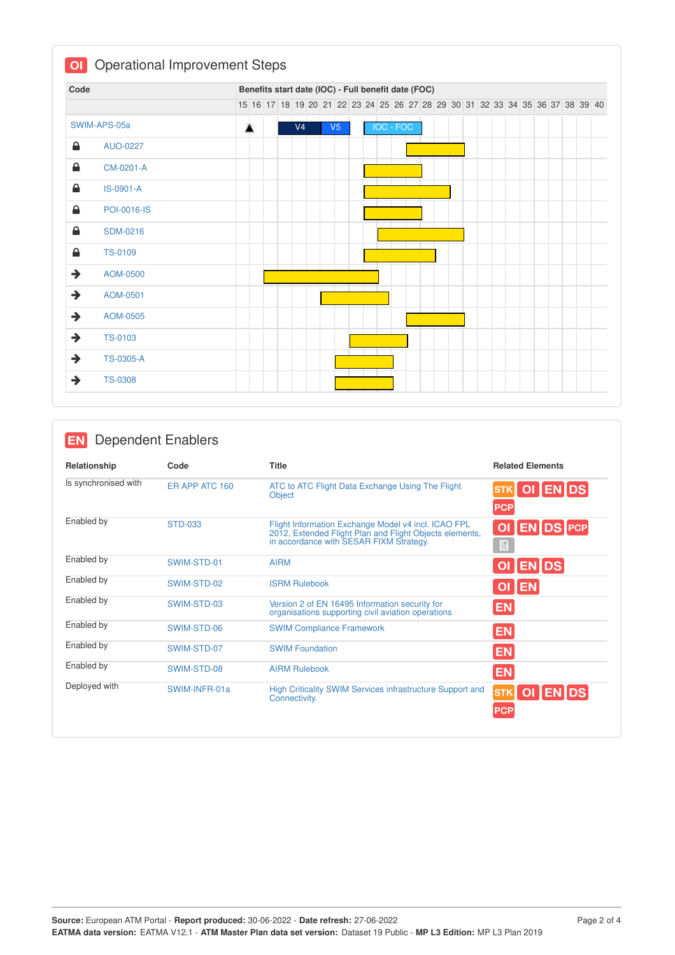| Code          |                    |  | Benefits start date (IOC) - Full benefit date (FOC) |                |  |                |     |           |  |  |  |  |  |                                                                               |  |
|---------------|--------------------|--|-----------------------------------------------------|----------------|--|----------------|-----|-----------|--|--|--|--|--|-------------------------------------------------------------------------------|--|
|               |                    |  |                                                     |                |  |                |     |           |  |  |  |  |  | 15 16 17 18 19 20 21 22 23 24 25 26 27 28 29 30 31 32 33 34 35 36 37 38 39 40 |  |
|               | SWIM-APS-05a       |  |                                                     | V <sub>4</sub> |  | V <sub>5</sub> |     | IOC - FOC |  |  |  |  |  |                                                                               |  |
| €             | AUO-0227           |  |                                                     |                |  |                |     |           |  |  |  |  |  |                                                                               |  |
| ≙             | CM-0201-A          |  |                                                     |                |  |                |     |           |  |  |  |  |  |                                                                               |  |
| ≙             | IS-0901-A          |  |                                                     |                |  |                |     |           |  |  |  |  |  |                                                                               |  |
| ≙             | <b>POI-0016-IS</b> |  |                                                     |                |  |                |     |           |  |  |  |  |  |                                                                               |  |
| ≙             | <b>SDM-0216</b>    |  |                                                     |                |  |                |     |           |  |  |  |  |  |                                                                               |  |
| €             | <b>TS-0109</b>     |  |                                                     |                |  |                |     |           |  |  |  |  |  |                                                                               |  |
| $\rightarrow$ | AOM-0500           |  |                                                     |                |  |                |     |           |  |  |  |  |  |                                                                               |  |
| $\rightarrow$ | AOM-0501           |  |                                                     |                |  |                |     |           |  |  |  |  |  |                                                                               |  |
| $\rightarrow$ | AOM-0505           |  |                                                     |                |  |                |     |           |  |  |  |  |  |                                                                               |  |
| $\rightarrow$ | <b>TS-0103</b>     |  |                                                     |                |  |                |     |           |  |  |  |  |  |                                                                               |  |
| $\rightarrow$ | <b>TS-0305-A</b>   |  |                                                     |                |  |                | T T |           |  |  |  |  |  |                                                                               |  |

## **EN** Dependent Enablers

| Relationship         | Code           | <b>Title</b>                                                                                                                                              | <b>Related Elements</b>                             |
|----------------------|----------------|-----------------------------------------------------------------------------------------------------------------------------------------------------------|-----------------------------------------------------|
| Is synchronised with | ER APP ATC 160 | ATC to ATC Flight Data Exchange Using The Flight<br>Object                                                                                                | OI ENDS<br><b>STK</b><br><b>PCP</b>                 |
| Enabled by           | <b>STD-033</b> | Flight Information Exchange Model v4 incl. ICAO FPL<br>2012, Extended Flight Plan and Flight Objects elements,<br>in accordance with SESAR FIXM Strategy. | <b>ENDS PCP</b><br>O <sub>1</sub><br>$\blacksquare$ |
| Enabled by           | SWIM-STD-01    | <b>AIRM</b>                                                                                                                                               | OI EN DS                                            |
| Enabled by           | SWIM-STD-02    | <b>ISRM Rulebook</b>                                                                                                                                      | OI EN                                               |
| Enabled by           | SWIM-STD-03    | Version 2 of EN 16495 Information security for<br>organisations supporting civil aviation operations                                                      | <b>EN</b>                                           |
| Enabled by           | SWIM-STD-06    | <b>SWIM Compliance Framework</b>                                                                                                                          | <b>EN</b>                                           |
| Enabled by           | SWIM-STD-07    | <b>SWIM Foundation</b>                                                                                                                                    | <b>EN</b>                                           |
| Enabled by           | SWIM-STD-08    | <b>AIRM Rulebook</b>                                                                                                                                      | <b>EN</b>                                           |
| Deployed with        | SWIM-INFR-01a  | High Criticality SWIM Services infrastructure Support and<br>Connectivity.                                                                                | OI EN DS<br><b>STK</b><br><b>PCP</b>                |